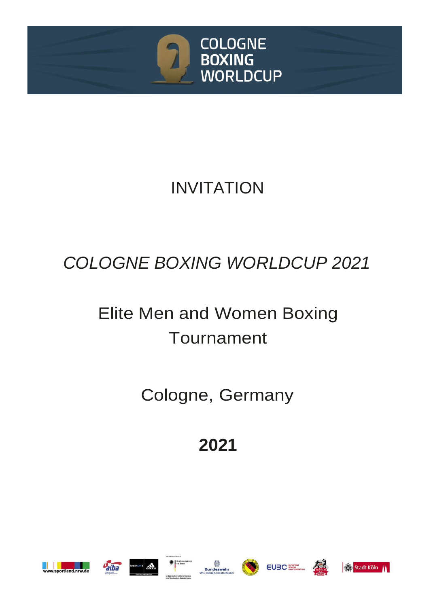

# INVITATION

# *COLOGNE BOXING WORLDCUP 2021*

# Elite Men and Women Boxing Tournament

Cologne, Germany

**2021**













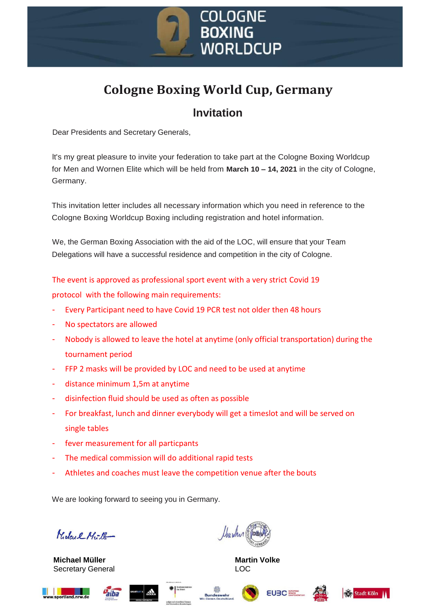

# **Cologne Boxing World Cup, Germany lnvitation**

Dear Presidents and Secretary Generals,

lt's my great pleasure to invite your federation to take part at the Cologne Boxing Worldcup for Men and Wornen Elite which will be held from **March 10 – 14, 2021** in the city of Cologne, Germany.

This invitation letter includes all necessary information which you need in reference to the Cologne Boxing Worldcup Boxing including registration and hotel information.

We, the German Boxing Association with the aid of the LOC, will ensure that your Team Delegations will have a successful residence and competition in the city of Cologne.

The event is approved as professional sport event with a very strict Covid 19 protocol with the following main requirements:

- Every Participant need to have Covid 19 PCR test not older then 48 hours
- No spectators are allowed
- Nobody is allowed to leave the hotel at anytime (only official transportation) during the tournament period
- FFP 2 masks will be provided by LOC and need to be used at anytime
- distance minimum 1,5m at anytime
- disinfection fluid should be used as often as possible
- For breakfast, lunch and dinner everybody will get a timeslot and will be served on single tables
- fever measurement for all particpants
- The medical commission will do additional rapid tests
- Athletes and coaches must leave the competition venue after the bouts

We are looking forward to seeing you in Germany.

Koley & Mill

**Michael Müller Martin Volke** Secretary General **LOC** 















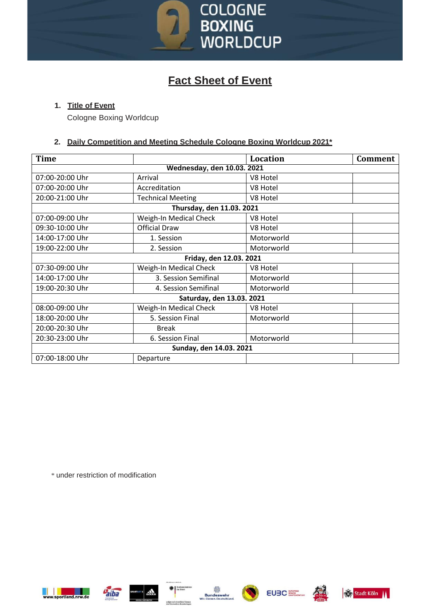

# **Fact Sheet of Event**

## **1. Title of Event**

Cologne Boxing Worldcup

### **2. Daily Competition and Meeting Schedule Cologne Boxing Worldcup 2021\***

| <b>Time</b>                       |                          | <b>Location</b> | <b>Comment</b> |  |
|-----------------------------------|--------------------------|-----------------|----------------|--|
| <b>Wednesday, den 10.03. 2021</b> |                          |                 |                |  |
| 07:00-20:00 Uhr                   | Arrival                  | V8 Hotel        |                |  |
| 07:00-20:00 Uhr                   | Accreditation            | V8 Hotel        |                |  |
| 20:00-21:00 Uhr                   | <b>Technical Meeting</b> | V8 Hotel        |                |  |
| Thursday, den 11.03. 2021         |                          |                 |                |  |
| 07:00-09:00 Uhr                   | Weigh-In Medical Check   | V8 Hotel        |                |  |
| 09:30-10:00 Uhr                   | <b>Official Draw</b>     | V8 Hotel        |                |  |
| 14:00-17:00 Uhr                   | 1. Session               | Motorworld      |                |  |
| 19:00-22:00 Uhr                   | 2. Session               | Motorworld      |                |  |
| Friday, den 12.03. 2021           |                          |                 |                |  |
| 07:30-09:00 Uhr                   | Weigh-In Medical Check   | V8 Hotel        |                |  |
| 14:00-17:00 Uhr                   | 3. Session Semifinal     | Motorworld      |                |  |
| 19:00-20:30 Uhr                   | 4. Session Semifinal     | Motorworld      |                |  |
| Saturday, den 13.03. 2021         |                          |                 |                |  |
| 08:00-09:00 Uhr                   | Weigh-In Medical Check   | V8 Hotel        |                |  |
| 18:00-20:00 Uhr                   | 5. Session Final         | Motorworld      |                |  |
| 20:00-20:30 Uhr                   | <b>Break</b>             |                 |                |  |
| 20:30-23:00 Uhr                   | 6. Session Final         | Motorworld      |                |  |
| Sunday, den 14.03. 2021           |                          |                 |                |  |
| 07:00-18:00 Uhr                   | Departure                |                 |                |  |

\* under restriction of modification











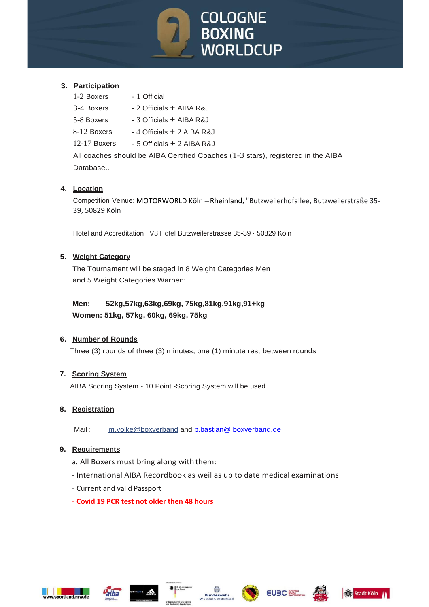

#### **3. Participation**

| 1-2 Boxers     | - 1 Official                                                                     |
|----------------|----------------------------------------------------------------------------------|
| 3-4 Boxers     | - 2 Officials + AIBA R&J                                                         |
| 5-8 Boxers     | - 3 Officials + AIBA R&J                                                         |
| 8-12 Boxers    | $-4$ Officials $+2$ AIBA R&J                                                     |
| $12-17$ Boxers | $-5$ Officials $+2$ AIBA R&J                                                     |
|                | All coaches should be AIBA Certified Coaches (1-3 stars), registered in the AIBA |
| Database       |                                                                                  |

#### **4. Location**

Competition Venue: MOTORWORLD Köln –Rheinland, "Butzweilerhofallee, Butzweilerstraße 35- 39, 50829 Köln

Hotel and Accreditation : V8 Hotel Butzweilerstrasse 35-39 · 50829 Köln

#### **5. Weight Category**

The Tournament will be staged in 8 Weight Categories Men and 5 Weight Categories Warnen:

# **Men: 52kg,57kg,63kg,69kg, 75kg,81kg,91kg,91+kg Women: 51kg, 57kg, 60kg, 69kg, 75kg**

#### **6. Number of Rounds**

Three (3) rounds of three (3) minutes, one (1) minute rest between rounds

#### **7. Scoring System**

AIBA Scoring System - 10 Point -Scoring System will be used

#### **8. Registration**

Mail: m.volke@boxverband and [b.bastian@ boxverband.de](mailto:b.bastian@%20boxverband.de)

#### **9. Reguirements**

a. All Boxers must bring along with them:

- International AIBA Recordbook as weil as up to date medical examinations
- Current and valid Passport
- **Covid 19 PCR test not older then 48 hours**





aiba







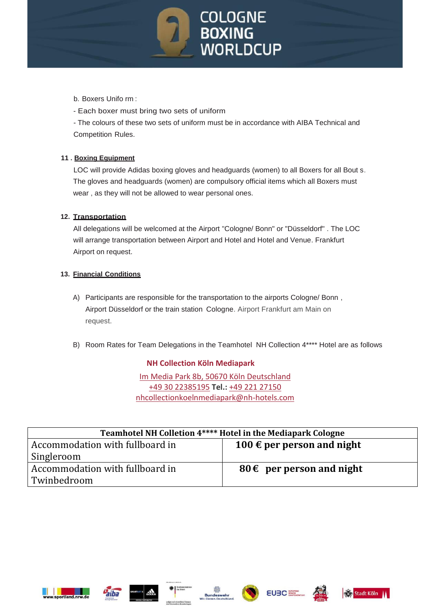

### b. Boxers Unifo rm :

- Each boxer must bring two sets of uniform

- The colours of these two sets of uniform must be in accordance with AIBA Technical and Competition Rules.

## **11 . Boxing Eguipment**

LOC will provide Adidas boxing gloves and headguards (women) to all Boxers for all Bout s. The gloves and headguards (women) are compulsory official items which all Boxers must wear , as they will not be allowed to wear personal ones.

## **12. Transportation**

All delegations will be welcomed at the Airport "Cologne/ Bonn" or "Düsseldorf" . The LOC will arrange transportation between Airport and Hotel and Hotel and Venue. Frankfurt Airport on request.

### **13. Financial Conditions**

- A) Participants are responsible for the transportation to the airports Cologne/ Bonn , Airport Düsseldorf or the train station Cologne. Airport Frankfurt am Main on request.
- B) Room Rates for Team Delegations in the Teamhotel NH Collection 4\*\*\*\* Hotel are as follows

# **NH Collection Köln Mediapark**

Im Media Park 8b, 50670 Köln [Deutschland](https://www.nh-collection.com/de/hotel/nh-collection-koeln-mediapark) +49 30 [22385195](tel:+49%2030%2022385195) **Tel.:** +49 221 [27150](tel:+49%20221%2027150) [nhcollectionkoelnmediapark@nh-hotels.com](mailto:nhcollectionkoelnmediapark@nh-hotels.com)

| Teamhotel NH Colletion 4**** Hotel in the Mediapark Cologne |                               |  |  |
|-------------------------------------------------------------|-------------------------------|--|--|
| Accommodation with fullboard in                             | 100 € per person and night    |  |  |
| Singleroom                                                  |                               |  |  |
| Accommodation with fullboard in                             | $80 \in$ per person and night |  |  |
| Twinbedroom                                                 |                               |  |  |











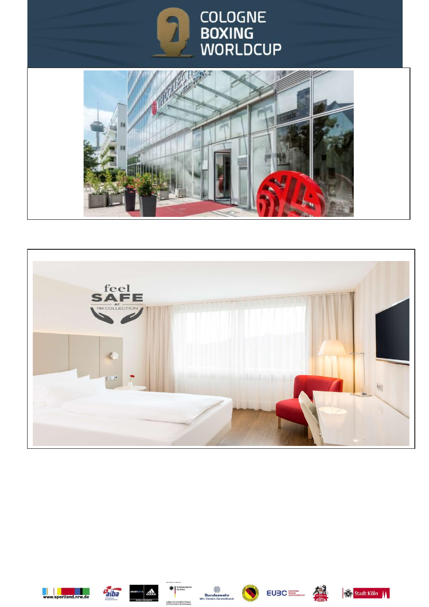

















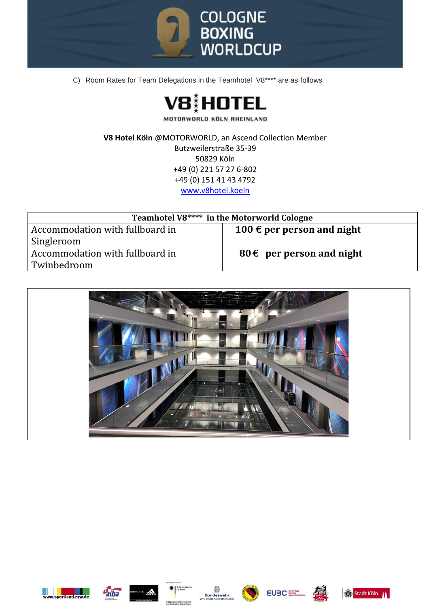

C) Room Rates for Team Delegations in the Teamhotel V8\*\*\*\* are as follows



MOTORWORLD KÖLN RHEINLAND

**V8 Hotel Köln** @MOTORWORLD, an Ascend Collection Member Butzweilerstraße 35-39 50829 Köln +49 (0) 221 57 27 6-802 +49 (0) 151 41 43 4792 [www.v8hotel.koeln](http://www.v8hotel.koeln/)

| Teamhotel V8**** in the Motorworld Cologne |                                     |  |
|--------------------------------------------|-------------------------------------|--|
| Accommodation with fullboard in            | 100 $\epsilon$ per person and night |  |
| Singleroom                                 |                                     |  |
| Accommodation with fullboard in            | 80 $\epsilon$ per person and night  |  |
| Twinbedroom                                |                                     |  |











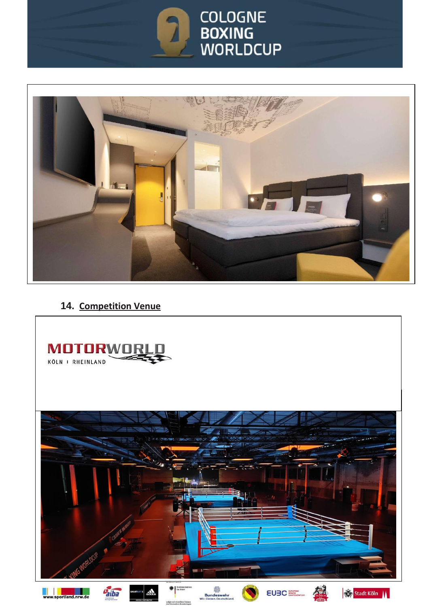



# **14. Competition Venue**





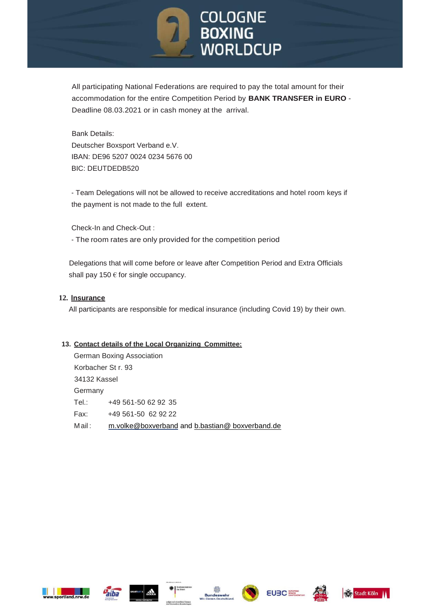

All participating National Federations are required to pay the total amount for their accommodation for the entire Competition Period by **BANK TRANSFER in EURO** - Deadline 08.03.2021 or in cash money at the arrival.

Bank Details: Deutscher Boxsport Verband e.V. IBAN: DE96 5207 0024 0234 5676 00 BIC: DEUTDEDB520

- Team Delegations will not be allowed to receive accreditations and hotel room keys if the payment is not made to the full extent.

Check-In and Check-Out :

- The room rates are only provided for the competition period

Delegations that will come before or leave after Competition Period and Extra Officials shall pay 150  $\epsilon$  for single occupancy.

#### **12. lnsurance**

All participants are responsible for medical insurance (including Covid 19) by their own.

#### **13. Contact details of the Local Organizing Committee:**

German Boxing Association Korbacher St r. 93 34132 Kassel **Germany** Tel.: +49 561-50 62 92 35 Fax: +49 561-50 62 92 22 Mail: m.volke@boxverband and [b.bastian@ boxverband.de](mailto:b.bastian@%20boxverband.de)